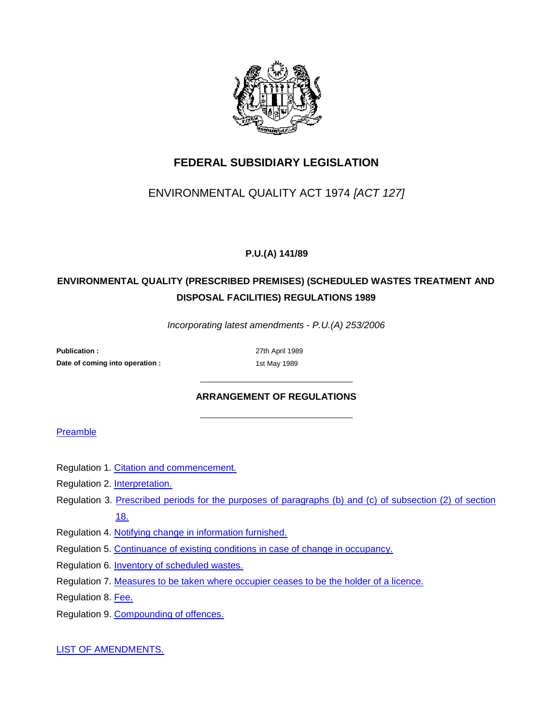

## **FEDERAL SUBSIDIARY LEGISLATION**

## ENVIRONMENTAL QUALITY ACT 1974 *[ACT 127]*

### **P.U.(A) 141/89**

## **ENVIRONMENTAL QUALITY (PRESCRIBED PREMISES) (SCHEDULED WASTES TREATMENT AND DISPOSAL FACILITIES) REGULATIONS 1989**

*Incorporating latest amendments - P.U.(A) 253/2006*

**Publication :** 27th April 1989 **Date of coming into operation :** 1st May 1989

### **ARRANGEMENT OF REGULATIONS**

#### Preamble

- Regulation 1. Citation and commencement.
- Regulation 2. Interpretation.
- Regulation 3. Prescribed periods for the purposes of paragraphs (b) and (c) of subsection (2) of section 18.
- Regulation 4. Notifying change in information furnished.
- Regulation 5. Continuance of existing conditions in case of change in occupancy.
- Regulation 6. Inventory of scheduled wastes.
- Regulation 7. Measures to be taken where occupier ceases to be the holder of a licence.
- Regulation 8. Fee.
- Regulation 9. Compounding of offences.

LIST OF AMENDMENTS.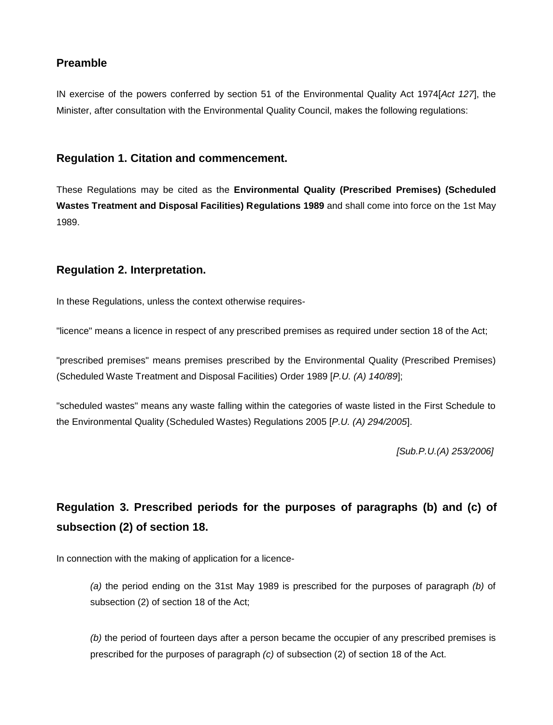### **Preamble**

IN exercise of the powers conferred by section 51 of the Environmental Quality Act 1974[*Act 127*], the Minister, after consultation with the Environmental Quality Council, makes the following regulations:

### **Regulation 1. Citation and commencement.**

These Regulations may be cited as the **Environmental Quality (Prescribed Premises) (Scheduled Wastes Treatment and Disposal Facilities) Regulations 1989** and shall come into force on the 1st May 1989.

### **Regulation 2. Interpretation.**

In these Regulations, unless the context otherwise requires-

"licence" means a licence in respect of any prescribed premises as required under section 18 of the Act;

"prescribed premises" means premises prescribed by the Environmental Quality (Prescribed Premises) (Scheduled Waste Treatment and Disposal Facilities) Order 1989 [*P.U. (A) 140/89*];

"scheduled wastes" means any waste falling within the categories of waste listed in the First Schedule to the Environmental Quality (Scheduled Wastes) Regulations 2005 [*P.U. (A) 294/2005*].

*[Sub.P.U.(A) 253/2006]*

# **Regulation 3. Prescribed periods for the purposes of paragraphs (b) and (c) of subsection (2) of section 18.**

In connection with the making of application for a licence-

*(a)* the period ending on the 31st May 1989 is prescribed for the purposes of paragraph *(b)* of subsection (2) of section 18 of the Act;

*(b)* the period of fourteen days after a person became the occupier of any prescribed premises is prescribed for the purposes of paragraph *(c)* of subsection (2) of section 18 of the Act.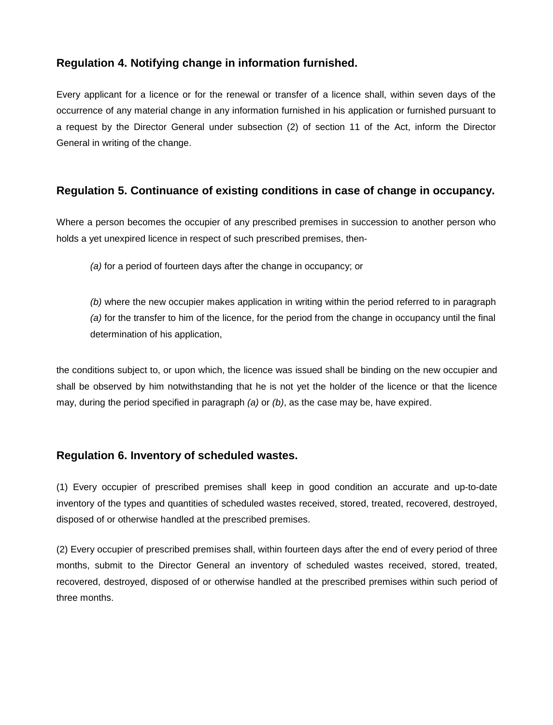### **Regulation 4. Notifying change in information furnished.**

Every applicant for a licence or for the renewal or transfer of a licence shall, within seven days of the occurrence of any material change in any information furnished in his application or furnished pursuant to a request by the Director General under subsection (2) of section 11 of the Act, inform the Director General in writing of the change.

### **Regulation 5. Continuance of existing conditions in case of change in occupancy.**

Where a person becomes the occupier of any prescribed premises in succession to another person who holds a yet unexpired licence in respect of such prescribed premises, then-

*(a)* for a period of fourteen days after the change in occupancy; or

*(b)* where the new occupier makes application in writing within the period referred to in paragraph *(a)* for the transfer to him of the licence, for the period from the change in occupancy until the final determination of his application,

the conditions subject to, or upon which, the licence was issued shall be binding on the new occupier and shall be observed by him notwithstanding that he is not yet the holder of the licence or that the licence may, during the period specified in paragraph *(a)* or *(b)*, as the case may be, have expired.

### **Regulation 6. Inventory of scheduled wastes.**

(1) Every occupier of prescribed premises shall keep in good condition an accurate and up-to-date inventory of the types and quantities of scheduled wastes received, stored, treated, recovered, destroyed, disposed of or otherwise handled at the prescribed premises.

(2) Every occupier of prescribed premises shall, within fourteen days after the end of every period of three months, submit to the Director General an inventory of scheduled wastes received, stored, treated, recovered, destroyed, disposed of or otherwise handled at the prescribed premises within such period of three months.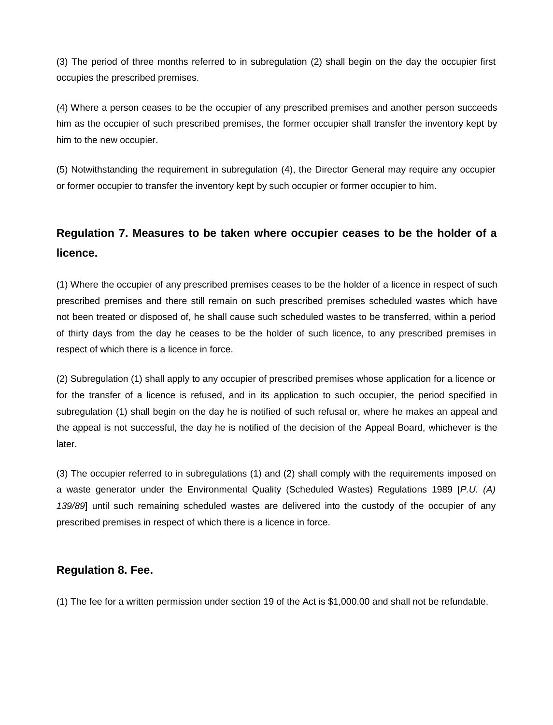(3) The period of three months referred to in subregulation (2) shall begin on the day the occupier first occupies the prescribed premises.

(4) Where a person ceases to be the occupier of any prescribed premises and another person succeeds him as the occupier of such prescribed premises, the former occupier shall transfer the inventory kept by him to the new occupier.

(5) Notwithstanding the requirement in subregulation (4), the Director General may require any occupier or former occupier to transfer the inventory kept by such occupier or former occupier to him.

## **Regulation 7. Measures to be taken where occupier ceases to be the holder of a licence.**

(1) Where the occupier of any prescribed premises ceases to be the holder of a licence in respect of such prescribed premises and there still remain on such prescribed premises scheduled wastes which have not been treated or disposed of, he shall cause such scheduled wastes to be transferred, within a period of thirty days from the day he ceases to be the holder of such licence, to any prescribed premises in respect of which there is a licence in force.

(2) Subregulation (1) shall apply to any occupier of prescribed premises whose application for a licence or for the transfer of a licence is refused, and in its application to such occupier, the period specified in subregulation (1) shall begin on the day he is notified of such refusal or, where he makes an appeal and the appeal is not successful, the day he is notified of the decision of the Appeal Board, whichever is the later.

(3) The occupier referred to in subregulations (1) and (2) shall comply with the requirements imposed on a waste generator under the Environmental Quality (Scheduled Wastes) Regulations 1989 [*P.U. (A) 139/89*] until such remaining scheduled wastes are delivered into the custody of the occupier of any prescribed premises in respect of which there is a licence in force.

### **Regulation 8. Fee.**

(1) The fee for a written permission under section 19 of the Act is \$1,000.00 and shall not be refundable.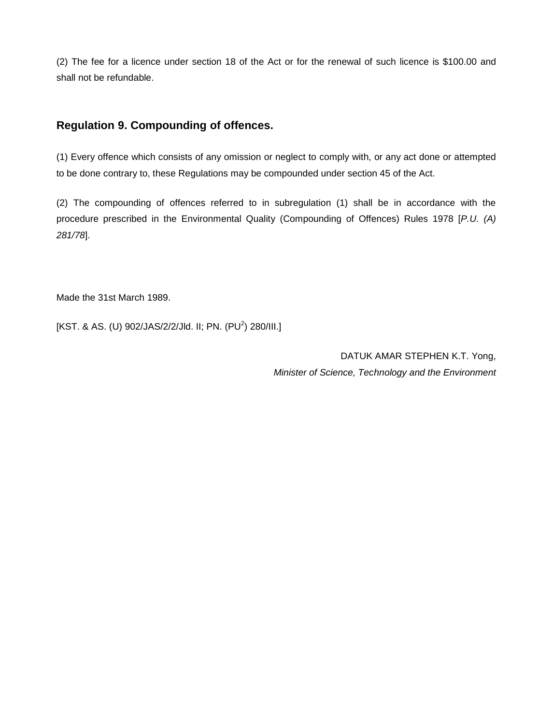(2) The fee for a licence under section 18 of the Act or for the renewal of such licence is \$100.00 and shall not be refundable.

### **Regulation 9. Compounding of offences.**

(1) Every offence which consists of any omission or neglect to comply with, or any act done or attempted to be done contrary to, these Regulations may be compounded under section 45 of the Act.

(2) The compounding of offences referred to in subregulation (1) shall be in accordance with the procedure prescribed in the Environmental Quality (Compounding of Offences) Rules 1978 [*P.U. (A) 281/78*].

Made the 31st March 1989.

[KST. & AS. (U) 902/JAS/2/2/Jld. II; PN. (PU<sup>2</sup>) 280/III.]

DATUK AMAR STEPHEN K.T. Yong, *Minister of Science, Technology and the Environment*